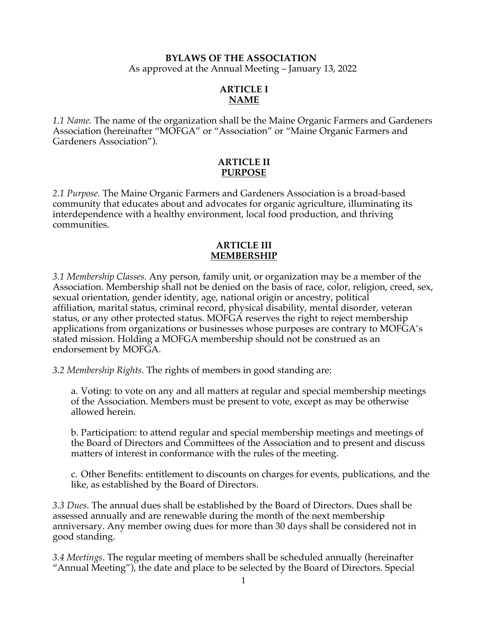### **BYLAWS OF THE ASSOCIATION** As approved at the Annual Meeting – January 13, 2022

## **ARTICLE I NAME**

*1.1 Name.* The name of the organization shall be the Maine Organic Farmers and Gardeners Association (hereinafter "MOFGA" or "Association" or "Maine Organic Farmers and Gardeners Association").

### **ARTICLE II PURPOSE**

*2.1 Purpose.* The Maine Organic Farmers and Gardeners Association is a broad-based community that educates about and advocates for organic agriculture, illuminating its interdependence with a healthy environment, local food production, and thriving communities.

## **ARTICLE III MEMBERSHIP**

*3.1 Membership Classes.* Any person, family unit, or organization may be a member of the Association. Membership shall not be denied on the basis of race, color, religion, creed, sex, sexual orientation, gender identity, age, national origin or ancestry, political affiliation, marital status, criminal record, physical disability, mental disorder, veteran status, or any other protected status. MOFGA reserves the right to reject membership applications from organizations or businesses whose purposes are contrary to MOFGA's stated mission. Holding a MOFGA membership should not be construed as an endorsement by MOFGA.

*3.2 Membership Rights.* The rights of members in good standing are:

a. Voting: to vote on any and all matters at regular and special membership meetings of the Association. Members must be present to vote, except as may be otherwise allowed herein.

b. Participation: to attend regular and special membership meetings and meetings of the Board of Directors and Committees of the Association and to present and discuss matters of interest in conformance with the rules of the meeting.

c. Other Benefits: entitlement to discounts on charges for events, publications, and the like, as established by the Board of Directors.

*3.3 Dues*. The annual dues shall be established by the Board of Directors. Dues shall be assessed annually and are renewable during the month of the next membership anniversary. Any member owing dues for more than 30 days shall be considered not in good standing.

*3.4 Meetings*. The regular meeting of members shall be scheduled annually (hereinafter "Annual Meeting"), the date and place to be selected by the Board of Directors. Special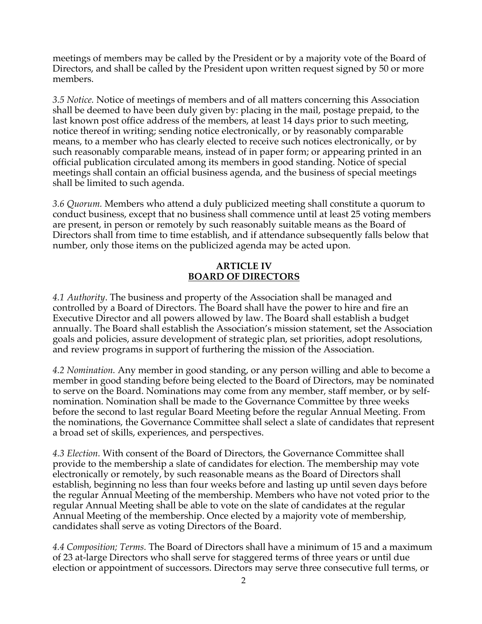meetings of members may be called by the President or by a majority vote of the Board of Directors, and shall be called by the President upon written request signed by 50 or more members.

*3.5 Notice.* Notice of meetings of members and of all matters concerning this Association shall be deemed to have been duly given by: placing in the mail, postage prepaid, to the last known post office address of the members, at least 14 days prior to such meeting, notice thereof in writing; sending notice electronically, or by reasonably comparable means, to a member who has clearly elected to receive such notices electronically, or by such reasonably comparable means, instead of in paper form; or appearing printed in an official publication circulated among its members in good standing. Notice of special meetings shall contain an official business agenda, and the business of special meetings shall be limited to such agenda.

*3.6 Quorum.* Members who attend a duly publicized meeting shall constitute a quorum to conduct business, except that no business shall commence until at least 25 voting members are present, in person or remotely by such reasonably suitable means as the Board of Directors shall from time to time establish, and if attendance subsequently falls below that number, only those items on the publicized agenda may be acted upon.

## **ARTICLE IV BOARD OF DIRECTORS**

*4.1 Authority*. The business and property of the Association shall be managed and controlled by a Board of Directors. The Board shall have the power to hire and fire an Executive Director and all powers allowed by law. The Board shall establish a budget annually. The Board shall establish the Association's mission statement, set the Association goals and policies, assure development of strategic plan, set priorities, adopt resolutions, and review programs in support of furthering the mission of the Association.

*4.2 Nomination.* Any member in good standing, or any person willing and able to become a member in good standing before being elected to the Board of Directors, may be nominated to serve on the Board. Nominations may come from any member, staff member, or by selfnomination. Nomination shall be made to the Governance Committee by three weeks before the second to last regular Board Meeting before the regular Annual Meeting. From the nominations, the Governance Committee shall select a slate of candidates that represent a broad set of skills, experiences, and perspectives.

*4.3 Election.* With consent of the Board of Directors, the Governance Committee shall provide to the membership a slate of candidates for election. The membership may vote electronically or remotely, by such reasonable means as the Board of Directors shall establish, beginning no less than four weeks before and lasting up until seven days before the regular Annual Meeting of the membership. Members who have not voted prior to the regular Annual Meeting shall be able to vote on the slate of candidates at the regular Annual Meeting of the membership. Once elected by a majority vote of membership, candidates shall serve as voting Directors of the Board.

*4.4 Composition; Terms.* The Board of Directors shall have a minimum of 15 and a maximum of 23 at-large Directors who shall serve for staggered terms of three years or until due election or appointment of successors. Directors may serve three consecutive full terms, or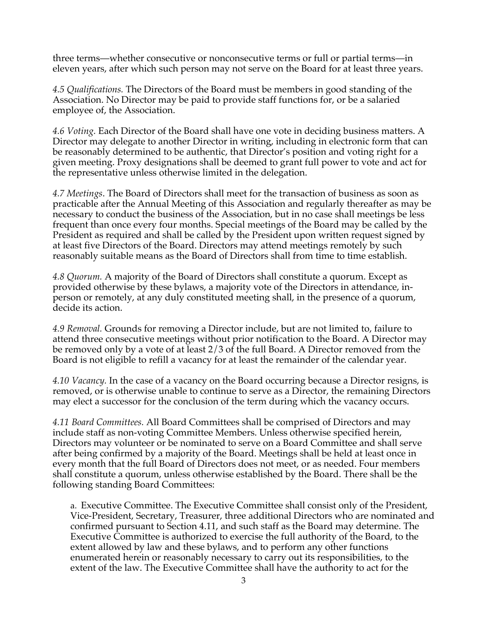three terms—whether consecutive or nonconsecutive terms or full or partial terms—in eleven years, after which such person may not serve on the Board for at least three years.

*4.5 Qualifications.* The Directors of the Board must be members in good standing of the Association. No Director may be paid to provide staff functions for, or be a salaried employee of, the Association.

*4.6 Voting.* Each Director of the Board shall have one vote in deciding business matters. A Director may delegate to another Director in writing, including in electronic form that can be reasonably determined to be authentic, that Director's position and voting right for a given meeting. Proxy designations shall be deemed to grant full power to vote and act for the representative unless otherwise limited in the delegation.

*4.7 Meetings*. The Board of Directors shall meet for the transaction of business as soon as practicable after the Annual Meeting of this Association and regularly thereafter as may be necessary to conduct the business of the Association, but in no case shall meetings be less frequent than once every four months. Special meetings of the Board may be called by the President as required and shall be called by the President upon written request signed by at least five Directors of the Board. Directors may attend meetings remotely by such reasonably suitable means as the Board of Directors shall from time to time establish.

*4.8 Quorum.* A majority of the Board of Directors shall constitute a quorum. Except as provided otherwise by these bylaws, a majority vote of the Directors in attendance, inperson or remotely, at any duly constituted meeting shall, in the presence of a quorum, decide its action.

*4.9 Removal.* Grounds for removing a Director include, but are not limited to, failure to attend three consecutive meetings without prior notification to the Board. A Director may be removed only by a vote of at least 2/3 of the full Board. A Director removed from the Board is not eligible to refill a vacancy for at least the remainder of the calendar year.

*4.10 Vacancy.* In the case of a vacancy on the Board occurring because a Director resigns, is removed, or is otherwise unable to continue to serve as a Director, the remaining Directors may elect a successor for the conclusion of the term during which the vacancy occurs.

*4.11 Board Committees.* All Board Committees shall be comprised of Directors and may include staff as non-voting Committee Members. Unless otherwise specified herein, Directors may volunteer or be nominated to serve on a Board Committee and shall serve after being confirmed by a majority of the Board. Meetings shall be held at least once in every month that the full Board of Directors does not meet, or as needed. Four members shall constitute a quorum, unless otherwise established by the Board. There shall be the following standing Board Committees:

a. Executive Committee. The Executive Committee shall consist only of the President, Vice-President, Secretary, Treasurer, three additional Directors who are nominated and confirmed pursuant to Section 4.11, and such staff as the Board may determine. The Executive Committee is authorized to exercise the full authority of the Board, to the extent allowed by law and these bylaws, and to perform any other functions enumerated herein or reasonably necessary to carry out its responsibilities, to the extent of the law. The Executive Committee shall have the authority to act for the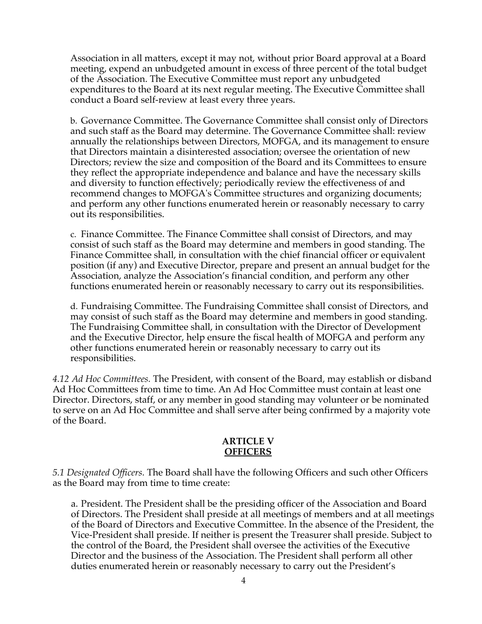Association in all matters, except it may not, without prior Board approval at a Board meeting, expend an unbudgeted amount in excess of three percent of the total budget of the Association. The Executive Committee must report any unbudgeted expenditures to the Board at its next regular meeting. The Executive Committee shall conduct a Board self-review at least every three years.

b. Governance Committee. The Governance Committee shall consist only of Directors and such staff as the Board may determine. The Governance Committee shall: review annually the relationships between Directors, MOFGA, and its management to ensure that Directors maintain a disinterested association; oversee the orientation of new Directors; review the size and composition of the Board and its Committees to ensure they reflect the appropriate independence and balance and have the necessary skills and diversity to function effectively; periodically review the effectiveness of and recommend changes to MOFGA's Committee structures and organizing documents; and perform any other functions enumerated herein or reasonably necessary to carry out its responsibilities.

c. Finance Committee. The Finance Committee shall consist of Directors, and may consist of such staff as the Board may determine and members in good standing. The Finance Committee shall, in consultation with the chief financial officer or equivalent position (if any) and Executive Director, prepare and present an annual budget for the Association, analyze the Association's financial condition, and perform any other functions enumerated herein or reasonably necessary to carry out its responsibilities.

d. Fundraising Committee. The Fundraising Committee shall consist of Directors, and may consist of such staff as the Board may determine and members in good standing. The Fundraising Committee shall, in consultation with the Director of Development and the Executive Director, help ensure the fiscal health of MOFGA and perform any other functions enumerated herein or reasonably necessary to carry out its responsibilities.

*4.12 Ad Hoc Committees.* The President, with consent of the Board, may establish or disband Ad Hoc Committees from time to time. An Ad Hoc Committee must contain at least one Director. Directors, staff, or any member in good standing may volunteer or be nominated to serve on an Ad Hoc Committee and shall serve after being confirmed by a majority vote of the Board.

#### **ARTICLE V OFFICERS**

*5.1 Designated Officers.* The Board shall have the following Officers and such other Officers as the Board may from time to time create:

a. President. The President shall be the presiding officer of the Association and Board of Directors. The President shall preside at all meetings of members and at all meetings of the Board of Directors and Executive Committee. In the absence of the President, the Vice-President shall preside. If neither is present the Treasurer shall preside. Subject to the control of the Board, the President shall oversee the activities of the Executive Director and the business of the Association. The President shall perform all other duties enumerated herein or reasonably necessary to carry out the President's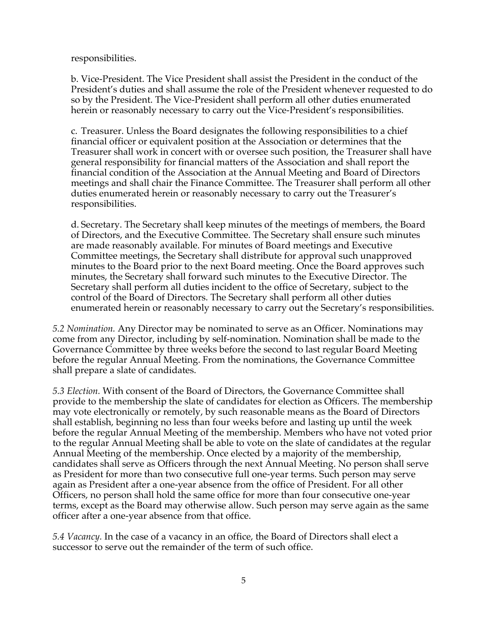responsibilities.

b. Vice-President. The Vice President shall assist the President in the conduct of the President's duties and shall assume the role of the President whenever requested to do so by the President. The Vice-President shall perform all other duties enumerated herein or reasonably necessary to carry out the Vice-President's responsibilities.

c. Treasurer. Unless the Board designates the following responsibilities to a chief financial officer or equivalent position at the Association or determines that the Treasurer shall work in concert with or oversee such position, the Treasurer shall have general responsibility for financial matters of the Association and shall report the financial condition of the Association at the Annual Meeting and Board of Directors meetings and shall chair the Finance Committee. The Treasurer shall perform all other duties enumerated herein or reasonably necessary to carry out the Treasurer's responsibilities.

d. Secretary. The Secretary shall keep minutes of the meetings of members, the Board of Directors, and the Executive Committee. The Secretary shall ensure such minutes are made reasonably available. For minutes of Board meetings and Executive Committee meetings, the Secretary shall distribute for approval such unapproved minutes to the Board prior to the next Board meeting. Once the Board approves such minutes, the Secretary shall forward such minutes to the Executive Director. The Secretary shall perform all duties incident to the office of Secretary, subject to the control of the Board of Directors. The Secretary shall perform all other duties enumerated herein or reasonably necessary to carry out the Secretary's responsibilities.

*5.2 Nomination.* Any Director may be nominated to serve as an Officer. Nominations may come from any Director, including by self-nomination. Nomination shall be made to the Governance Committee by three weeks before the second to last regular Board Meeting before the regular Annual Meeting. From the nominations, the Governance Committee shall prepare a slate of candidates.

*5.3 Election.* With consent of the Board of Directors, the Governance Committee shall provide to the membership the slate of candidates for election as Officers. The membership may vote electronically or remotely, by such reasonable means as the Board of Directors shall establish, beginning no less than four weeks before and lasting up until the week before the regular Annual Meeting of the membership. Members who have not voted prior to the regular Annual Meeting shall be able to vote on the slate of candidates at the regular Annual Meeting of the membership. Once elected by a majority of the membership, candidates shall serve as Officers through the next Annual Meeting. No person shall serve as President for more than two consecutive full one-year terms. Such person may serve again as President after a one-year absence from the office of President. For all other Officers, no person shall hold the same office for more than four consecutive one-year terms, except as the Board may otherwise allow. Such person may serve again as the same officer after a one-year absence from that office.

*5.4 Vacancy.* In the case of a vacancy in an office, the Board of Directors shall elect a successor to serve out the remainder of the term of such office.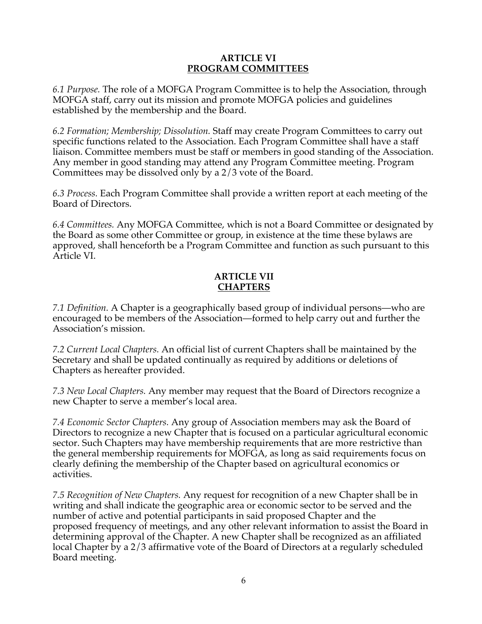### **ARTICLE VI PROGRAM COMMITTEES**

*6.1 Purpose.* The role of a MOFGA Program Committee is to help the Association, through MOFGA staff, carry out its mission and promote MOFGA policies and guidelines established by the membership and the Board.

*6.2 Formation; Membership; Dissolution.* Staff may create Program Committees to carry out specific functions related to the Association. Each Program Committee shall have a staff liaison. Committee members must be staff or members in good standing of the Association. Any member in good standing may attend any Program Committee meeting. Program Committees may be dissolved only by a 2/3 vote of the Board.

*6.3 Process.* Each Program Committee shall provide a written report at each meeting of the Board of Directors.

*6.4 Committees.* Any MOFGA Committee, which is not a Board Committee or designated by the Board as some other Committee or group, in existence at the time these bylaws are approved, shall henceforth be a Program Committee and function as such pursuant to this Article VI.

# **ARTICLE VII CHAPTERS**

*7.1 Definition.* A Chapter is a geographically based group of individual persons—who are encouraged to be members of the Association—formed to help carry out and further the Association's mission.

*7.2 Current Local Chapters.* An official list of current Chapters shall be maintained by the Secretary and shall be updated continually as required by additions or deletions of Chapters as hereafter provided.

*7.3 New Local Chapters.* Any member may request that the Board of Directors recognize a new Chapter to serve a member's local area.

*7.4 Economic Sector Chapters.* Any group of Association members may ask the Board of Directors to recognize a new Chapter that is focused on a particular agricultural economic sector. Such Chapters may have membership requirements that are more restrictive than the general membership requirements for MOFGA, as long as said requirements focus on clearly defining the membership of the Chapter based on agricultural economics or activities.

*7.5 Recognition of New Chapters.* Any request for recognition of a new Chapter shall be in writing and shall indicate the geographic area or economic sector to be served and the number of active and potential participants in said proposed Chapter and the proposed frequency of meetings, and any other relevant information to assist the Board in determining approval of the Chapter. A new Chapter shall be recognized as an affiliated local Chapter by a 2/3 affirmative vote of the Board of Directors at a regularly scheduled Board meeting.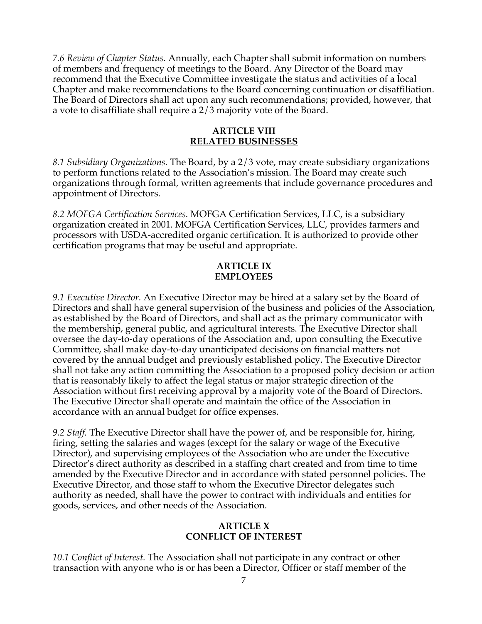*7.6 Review of Chapter Status.* Annually, each Chapter shall submit information on numbers of members and frequency of meetings to the Board. Any Director of the Board may recommend that the Executive Committee investigate the status and activities of a local Chapter and make recommendations to the Board concerning continuation or disaffiliation. The Board of Directors shall act upon any such recommendations; provided, however, that a vote to disaffiliate shall require a 2/3 majority vote of the Board.

### **ARTICLE VIII RELATED BUSINESSES**

*8.1 Subsidiary Organizations.* The Board, by a 2/3 vote, may create subsidiary organizations to perform functions related to the Association's mission. The Board may create such organizations through formal, written agreements that include governance procedures and appointment of Directors.

*8.2 MOFGA Certification Services.* MOFGA Certification Services, LLC, is a subsidiary organization created in 2001. MOFGA Certification Services, LLC, provides farmers and processors with USDA-accredited organic certification. It is authorized to provide other certification programs that may be useful and appropriate.

## **ARTICLE IX EMPLOYEES**

*9.1 Executive Director.* An Executive Director may be hired at a salary set by the Board of Directors and shall have general supervision of the business and policies of the Association, as established by the Board of Directors, and shall act as the primary communicator with the membership, general public, and agricultural interests. The Executive Director shall oversee the day-to-day operations of the Association and, upon consulting the Executive Committee, shall make day-to-day unanticipated decisions on financial matters not covered by the annual budget and previously established policy. The Executive Director shall not take any action committing the Association to a proposed policy decision or action that is reasonably likely to affect the legal status or major strategic direction of the Association without first receiving approval by a majority vote of the Board of Directors. The Executive Director shall operate and maintain the office of the Association in accordance with an annual budget for office expenses.

*9.2 Staff.* The Executive Director shall have the power of, and be responsible for, hiring, firing, setting the salaries and wages (except for the salary or wage of the Executive Director), and supervising employees of the Association who are under the Executive Director's direct authority as described in a staffing chart created and from time to time amended by the Executive Director and in accordance with stated personnel policies. The Executive Director, and those staff to whom the Executive Director delegates such authority as needed, shall have the power to contract with individuals and entities for goods, services, and other needs of the Association.

## **ARTICLE X CONFLICT OF INTEREST**

*10.1 Conflict of Interest.* The Association shall not participate in any contract or other transaction with anyone who is or has been a Director, Officer or staff member of the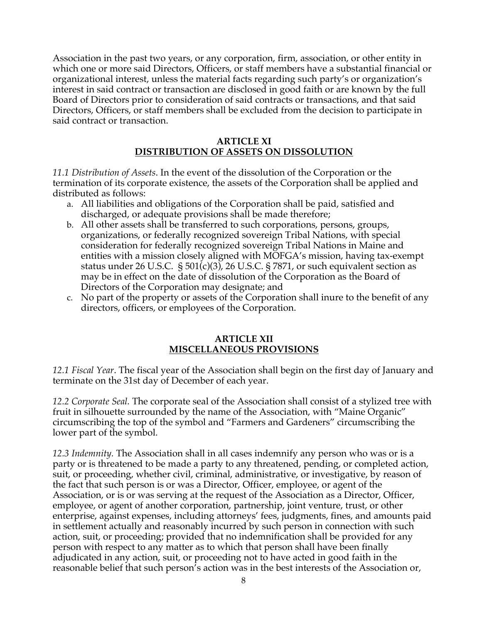Association in the past two years, or any corporation, firm, association, or other entity in which one or more said Directors, Officers, or staff members have a substantial financial or organizational interest, unless the material facts regarding such party's or organization's interest in said contract or transaction are disclosed in good faith or are known by the full Board of Directors prior to consideration of said contracts or transactions, and that said Directors, Officers, or staff members shall be excluded from the decision to participate in said contract or transaction.

## **ARTICLE XI DISTRIBUTION OF ASSETS ON DISSOLUTION**

*11.1 Distribution of Assets*. In the event of the dissolution of the Corporation or the termination of its corporate existence, the assets of the Corporation shall be applied and distributed as follows:

- a. All liabilities and obligations of the Corporation shall be paid, satisfied and discharged, or adequate provisions shall be made therefore;
- b. All other assets shall be transferred to such corporations, persons, groups, organizations, or federally recognized sovereign Tribal Nations, with special consideration for federally recognized sovereign Tribal Nations in Maine and entities with a mission closely aligned with MOFGA's mission, having tax-exempt status under 26 U.S.C.  $\S 501(c)(3)$ , 26 U.S.C.  $\S 7871$ , or such equivalent section as may be in effect on the date of dissolution of the Corporation as the Board of Directors of the Corporation may designate; and
- c. No part of the property or assets of the Corporation shall inure to the benefit of any directors, officers, or employees of the Corporation.

## **ARTICLE XII MISCELLANEOUS PROVISIONS**

*12.1 Fiscal Year*. The fiscal year of the Association shall begin on the first day of January and terminate on the 31st day of December of each year.

*12.2 Corporate Seal.* The corporate seal of the Association shall consist of a stylized tree with fruit in silhouette surrounded by the name of the Association, with "Maine Organic" circumscribing the top of the symbol and "Farmers and Gardeners" circumscribing the lower part of the symbol.

*12.3 Indemnity.* The Association shall in all cases indemnify any person who was or is a party or is threatened to be made a party to any threatened, pending, or completed action, suit, or proceeding, whether civil, criminal, administrative, or investigative, by reason of the fact that such person is or was a Director, Officer, employee, or agent of the Association, or is or was serving at the request of the Association as a Director, Officer, employee, or agent of another corporation, partnership, joint venture, trust, or other enterprise, against expenses, including attorneys' fees, judgments, fines, and amounts paid in settlement actually and reasonably incurred by such person in connection with such action, suit, or proceeding; provided that no indemnification shall be provided for any person with respect to any matter as to which that person shall have been finally adjudicated in any action, suit, or proceeding not to have acted in good faith in the reasonable belief that such person's action was in the best interests of the Association or,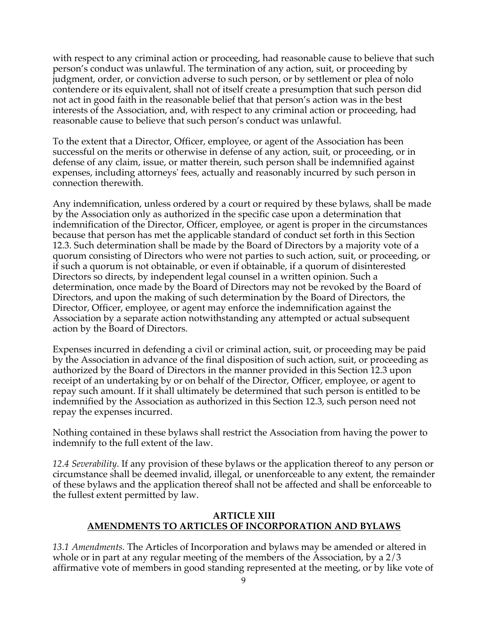with respect to any criminal action or proceeding, had reasonable cause to believe that such person's conduct was unlawful. The termination of any action, suit, or proceeding by judgment, order, or conviction adverse to such person, or by settlement or plea of nolo contendere or its equivalent, shall not of itself create a presumption that such person did not act in good faith in the reasonable belief that that person's action was in the best interests of the Association, and, with respect to any criminal action or proceeding, had reasonable cause to believe that such person's conduct was unlawful.

To the extent that a Director, Officer, employee, or agent of the Association has been successful on the merits or otherwise in defense of any action, suit, or proceeding, or in defense of any claim, issue, or matter therein, such person shall be indemnified against expenses, including attorneys' fees, actually and reasonably incurred by such person in connection therewith.

Any indemnification, unless ordered by a court or required by these bylaws, shall be made by the Association only as authorized in the specific case upon a determination that indemnification of the Director, Officer, employee, or agent is proper in the circumstances because that person has met the applicable standard of conduct set forth in this Section 12.3. Such determination shall be made by the Board of Directors by a majority vote of a quorum consisting of Directors who were not parties to such action, suit, or proceeding, or if such a quorum is not obtainable, or even if obtainable, if a quorum of disinterested Directors so directs, by independent legal counsel in a written opinion. Such a determination, once made by the Board of Directors may not be revoked by the Board of Directors, and upon the making of such determination by the Board of Directors, the Director, Officer, employee, or agent may enforce the indemnification against the Association by a separate action notwithstanding any attempted or actual subsequent action by the Board of Directors.

Expenses incurred in defending a civil or criminal action, suit, or proceeding may be paid by the Association in advance of the final disposition of such action, suit, or proceeding as authorized by the Board of Directors in the manner provided in this Section 12.3 upon receipt of an undertaking by or on behalf of the Director, Officer, employee, or agent to repay such amount. If it shall ultimately be determined that such person is entitled to be indemnified by the Association as authorized in this Section 12.3, such person need not repay the expenses incurred.

Nothing contained in these bylaws shall restrict the Association from having the power to indemnify to the full extent of the law.

*12.4 Severability.* If any provision of these bylaws or the application thereof to any person or circumstance shall be deemed invalid, illegal, or unenforceable to any extent, the remainder of these bylaws and the application thereof shall not be affected and shall be enforceable to the fullest extent permitted by law.

## **ARTICLE XIII AMENDMENTS TO ARTICLES OF INCORPORATION AND BYLAWS**

*13.1 Amendments.* The Articles of Incorporation and bylaws may be amended or altered in whole or in part at any regular meeting of the members of the Association, by a 2/3 affirmative vote of members in good standing represented at the meeting, or by like vote of